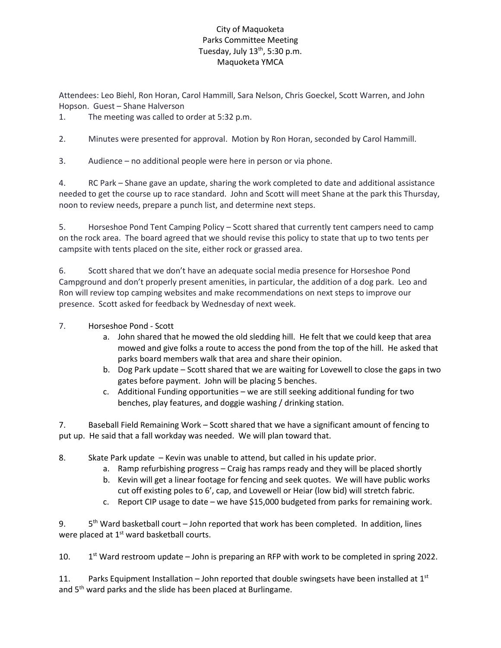## City of Maquoketa Parks Committee Meeting Tuesday, July  $13<sup>th</sup>$ , 5:30 p.m. Maquoketa YMCA

Attendees: Leo Biehl, Ron Horan, Carol Hammill, Sara Nelson, Chris Goeckel, Scott Warren, and John Hopson. Guest – Shane Halverson

1. The meeting was called to order at 5:32 p.m.

2. Minutes were presented for approval. Motion by Ron Horan, seconded by Carol Hammill.

3. Audience – no additional people were here in person or via phone.

4. RC Park – Shane gave an update, sharing the work completed to date and additional assistance needed to get the course up to race standard. John and Scott will meet Shane at the park this Thursday, noon to review needs, prepare a punch list, and determine next steps.

5. Horseshoe Pond Tent Camping Policy – Scott shared that currently tent campers need to camp on the rock area. The board agreed that we should revise this policy to state that up to two tents per campsite with tents placed on the site, either rock or grassed area.

6. Scott shared that we don't have an adequate social media presence for Horseshoe Pond Campground and don't properly present amenities, in particular, the addition of a dog park. Leo and Ron will review top camping websites and make recommendations on next steps to improve our presence. Scott asked for feedback by Wednesday of next week.

7. Horseshoe Pond - Scott

- a. John shared that he mowed the old sledding hill. He felt that we could keep that area mowed and give folks a route to access the pond from the top of the hill. He asked that parks board members walk that area and share their opinion.
- b. Dog Park update Scott shared that we are waiting for Lovewell to close the gaps in two gates before payment. John will be placing 5 benches.
- c. Additional Funding opportunities we are still seeking additional funding for two benches, play features, and doggie washing / drinking station.

7. Baseball Field Remaining Work – Scott shared that we have a significant amount of fencing to put up. He said that a fall workday was needed. We will plan toward that.

8. Skate Park update – Kevin was unable to attend, but called in his update prior.

- a. Ramp refurbishing progress Craig has ramps ready and they will be placed shortly
- b. Kevin will get a linear footage for fencing and seek quotes. We will have public works cut off existing poles to 6', cap, and Lovewell or Heiar (low bid) will stretch fabric.
- c. Report CIP usage to date we have \$15,000 budgeted from parks for remaining work.

 $9<sub>r</sub>$  $5<sup>th</sup>$  Ward basketball court – John reported that work has been completed. In addition, lines were placed at 1<sup>st</sup> ward basketball courts.

 $10.$  $1<sup>st</sup>$  Ward restroom update – John is preparing an RFP with work to be completed in spring 2022.

11. Parks Equipment Installation – John reported that double swingsets have been installed at  $1<sup>st</sup>$ and 5<sup>th</sup> ward parks and the slide has been placed at Burlingame.